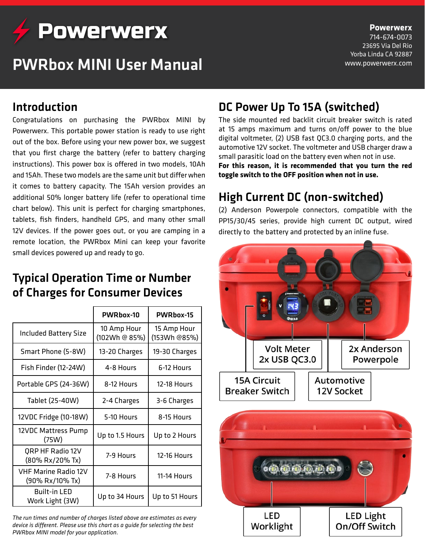

# PWRbox MINI User Manual

# **Powerwerx**

714-674-0073 23695 Via Del Rio Yorba Linda CA 92887 www.powerwerx.com

### Introduction

Congratulations on purchasing the PWRbox MINI by Powerwerx. This portable power station is ready to use right out of the box. Before using your new power box, we suggest that you first charge the battery (refer to battery charging instructions). This power box is offered in two models, 10Ah and 15Ah. These two models are the same unit but differ when it comes to battery capacity. The 15Ah version provides an additional 50% longer battery life (refer to operational time chart below). This unit is perfect for charging smartphones, tablets, fish finders, handheld GPS, and many other small 12V devices. If the power goes out, or you are camping in a remote location, the PWRbox Mini can keep your favorite small devices powered up and ready to go.

#### Typical Operation Time or Number of Charges for Consumer Devices

|                                                | PWRbox-10                    | PWRbox-15                   |
|------------------------------------------------|------------------------------|-----------------------------|
| <b>Included Battery Size</b>                   | 10 Amp Hour<br>(102Wh @ 85%) | 15 Amp Hour<br>(153Wh @85%) |
| Smart Phone (5-8W)                             | 13-20 Charges                | 19-30 Charges               |
| Fish Finder (12-24W)                           | 4-8 Hours                    | 6-12 Hours                  |
| Portable GPS (24-36W)                          | 8-12 Hours                   | 12-18 Hours                 |
| Tablet (25-40W)                                | 2-4 Charges                  | 3-6 Charges                 |
| 12VDC Fridge (10-18W)                          | 5-10 Hours                   | 8-15 Hours                  |
| 12VDC Mattress Pump<br>(75W)                   | Up to 1.5 Hours              | Up to 2 Hours               |
| <b>QRP HF Radio 12V</b><br>(80% Rx/20% Tx)     | 7-9 Hours                    | <b>12-16 Hours</b>          |
| <b>VHF Marine Radio 12V</b><br>(90% Rx/10% Tx) | 7-8 Hours                    | 11-14 Hours                 |
| <b>Built-in LED</b><br>Work Light (3W)         | Up to 34 Hours               | Up to 51 Hours              |

*The run times and number of charges listed above are estimates as every device is different. Please use this chart as a guide for selecting the best PWRbox MINI model for your application.*

# DC Power Up To 15A (switched)

The side mounted red backlit circuit breaker switch is rated at 15 amps maximum and turns on/off power to the blue digital voltmeter, (2) USB fast QC3.0 charging ports, and the automotive 12V socket. The voltmeter and USB charger draw a small parasitic load on the battery even when not in use.

**For this reason, it is recommended that you turn the red toggle switch to the OFF position when not in use.**

# High Current DC (non-switched)

(2) Anderson Powerpole connectors, compatible with the PP15/30/45 series, provide high current DC output, wired directly to the battery and protected by an inline fuse.